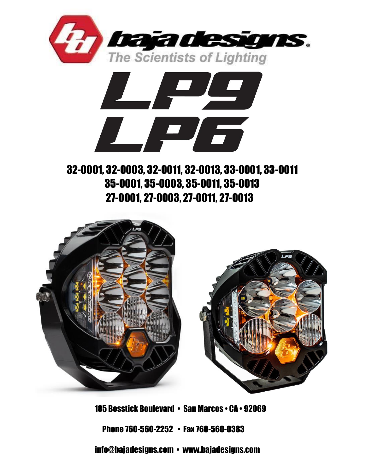



# 32-0001, 32-0003, 32-0011, 32-0013, 33-0001, 33-0011 35-0001, 35-0003, 35-0011, 35-0013 27-0001, 27-0003, 27-0011, 27-0013



185 Bosstick Boulevard • San Marcos • CA • 92069 Phone 760-560-2252 • Fax 760-560-0383 info@bajadesigns.com • www.bajadesigns.com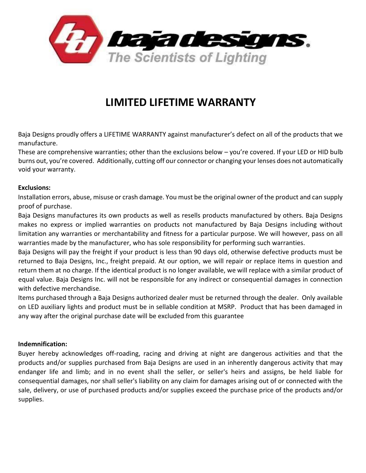

## **LIMITED LIFETIME WARRANTY**

Baja Designs proudly offers a LIFETIME WARRANTY against manufacturer's defect on all of the products that we manufacture.

These are comprehensive warranties; other than the exclusions below – you're covered. If your LED or HID bulb burns out, you're covered. Additionally, cutting off our connector or changing your lenses does not automatically void your warranty.

#### **Exclusions:**

Installation errors, abuse, misuse or crash damage. You must be the original owner of the product and can supply proof of purchase.

Baja Designs manufactures its own products as well as resells products manufactured by others. Baja Designs makes no express or implied warranties on products not manufactured by Baja Designs including without limitation any warranties or merchantability and fitness for a particular purpose. We will however, pass on all warranties made by the manufacturer, who has sole responsibility for performing such warranties.

Baja Designs will pay the freight if your product is less than 90 days old, otherwise defective products must be returned to Baja Designs, Inc., freight prepaid. At our option, we will repair or replace items in question and return them at no charge. If the identical product is no longer available, we will replace with a similar product of equal value. Baja Designs Inc. will not be responsible for any indirect or consequential damages in connection with defective merchandise.

Items purchased through a Baja Designs authorized dealer must be returned through the dealer. Only available on LED auxiliary lights and product must be in sellable condition at MSRP. Product that has been damaged in any way after the original purchase date will be excluded from this guarantee

#### **Indemnification:**

Buyer hereby acknowledges off-roading, racing and driving at night are dangerous activities and that the products and/or supplies purchased from Baja Designs are used in an inherently dangerous activity that may endanger life and limb; and in no event shall the seller, or seller's heirs and assigns, be held liable for consequential damages, nor shall seller's liability on any claim for damages arising out of or connected with the sale, delivery, or use of purchased products and/or supplies exceed the purchase price of the products and/or supplies.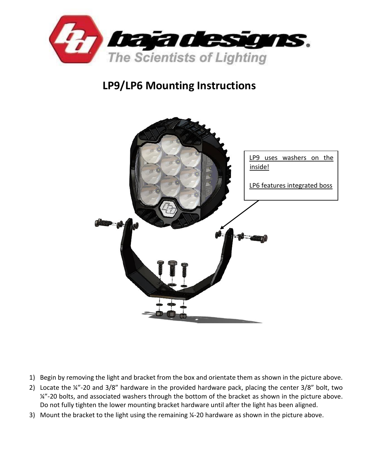

# **LP9/LP6 Mounting Instructions**



- 1) Begin by removing the light and bracket from the box and orientate them as shown in the picture above.
- 2) Locate the ¼"-20 and 3/8" hardware in the provided hardware pack, placing the center 3/8" bolt, two ¼"-20 bolts, and associated washers through the bottom of the bracket as shown in the picture above. Do not fully tighten the lower mounting bracket hardware until after the light has been aligned.
- 3) Mount the bracket to the light using the remaining ¼-20 hardware as shown in the picture above.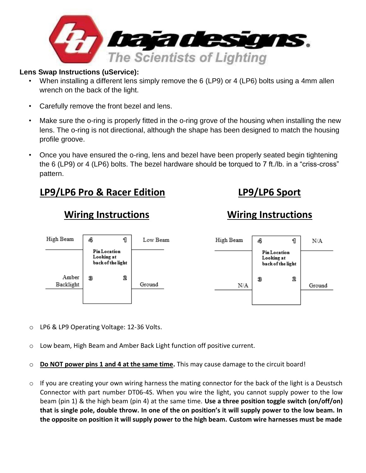

### **Lens Swap Instructions (uService):**

- When installing a different lens simply remove the 6 (LP9) or 4 (LP6) bolts using a 4mm allen wrench on the back of the light.
- Carefully remove the front bezel and lens.
- Make sure the o-ring is properly fitted in the o-ring grove of the housing when installing the new lens. The o-ring is not directional, although the shape has been designed to match the housing profile groove.
- Once you have ensured the o-ring, lens and bezel have been properly seated begin tightening the 6 (LP9) or 4 (LP6) bolts. The bezel hardware should be torqued to 7 ft./lb. in a "criss-cross" pattern.

## **LP9/LP6 Pro & Racer Edition LP9/LP6 Sport**

## **Wiring Instructions Wiring Instructions**



- o LP6 & LP9 Operating Voltage: 12-36 Volts.
- o Low beam, High Beam and Amber Back Light function off positive current.
- o **Do NOT power pins 1 and 4 at the same time.** This may cause damage to the circuit board!
- $\circ$  If you are creating your own wiring harness the mating connector for the back of the light is a Deustsch Connector with part number DT06-4S. When you wire the light, you cannot supply power to the low beam (pin 1) & the high beam (pin 4) at the same time. **Use a three position toggle switch (on/off/on) that is single pole, double throw. In one of the on position's it will supply power to the low beam. In the opposite on position it will supply power to the high beam. Custom wire harnesses must be made**